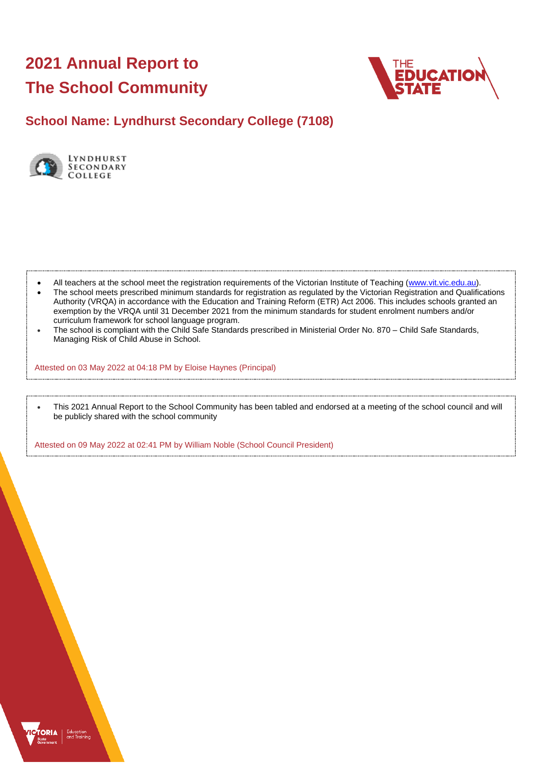# **2021 Annual Report to The School Community**



**School Name: Lyndhurst Secondary College (7108)**



- All teachers at the school meet the registration requirements of the Victorian Institute of Teaching [\(www.vit.vic.edu.au\)](https://www.vit.vic.edu.au/).
- The school meets prescribed minimum standards for registration as regulated by the Victorian Registration and Qualifications Authority (VRQA) in accordance with the Education and Training Reform (ETR) Act 2006. This includes schools granted an exemption by the VRQA until 31 December 2021 from the minimum standards for student enrolment numbers and/or curriculum framework for school language program.
- The school is compliant with the Child Safe Standards prescribed in Ministerial Order No. 870 Child Safe Standards, Managing Risk of Child Abuse in School.

Attested on 03 May 2022 at 04:18 PM by Eloise Haynes (Principal)

 This 2021 Annual Report to the School Community has been tabled and endorsed at a meeting of the school council and will be publicly shared with the school community

Attested on 09 May 2022 at 02:41 PM by William Noble (School Council President)

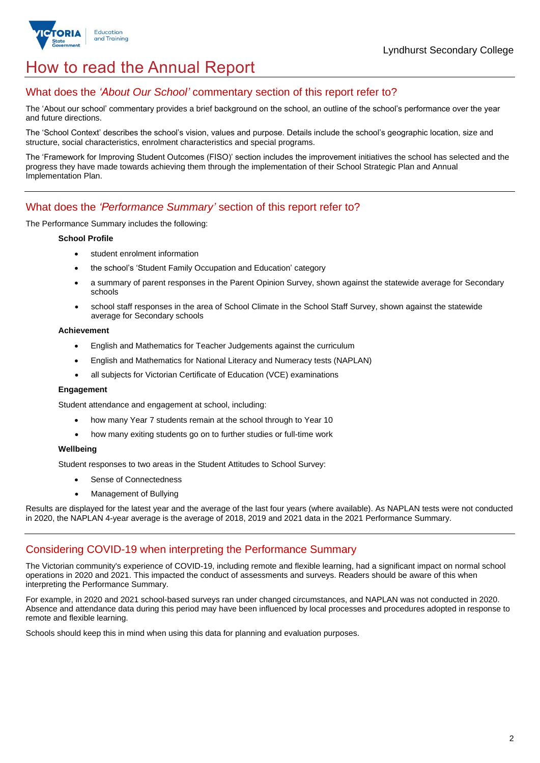

# How to read the Annual Report

## What does the *'About Our School'* commentary section of this report refer to?

The 'About our school' commentary provides a brief background on the school, an outline of the school's performance over the year and future directions.

The 'School Context' describes the school's vision, values and purpose. Details include the school's geographic location, size and structure, social characteristics, enrolment characteristics and special programs.

The 'Framework for Improving Student Outcomes (FISO)' section includes the improvement initiatives the school has selected and the progress they have made towards achieving them through the implementation of their School Strategic Plan and Annual Implementation Plan.

## What does the *'Performance Summary'* section of this report refer to?

The Performance Summary includes the following:

#### **School Profile**

- student enrolment information
- the school's 'Student Family Occupation and Education' category
- a summary of parent responses in the Parent Opinion Survey, shown against the statewide average for Secondary schools
- school staff responses in the area of School Climate in the School Staff Survey, shown against the statewide average for Secondary schools

#### **Achievement**

- English and Mathematics for Teacher Judgements against the curriculum
- English and Mathematics for National Literacy and Numeracy tests (NAPLAN)
- all subjects for Victorian Certificate of Education (VCE) examinations

#### **Engagement**

Student attendance and engagement at school, including:

- how many Year 7 students remain at the school through to Year 10
- how many exiting students go on to further studies or full-time work

#### **Wellbeing**

Student responses to two areas in the Student Attitudes to School Survey:

- Sense of Connectedness
- Management of Bullying

Results are displayed for the latest year and the average of the last four years (where available). As NAPLAN tests were not conducted in 2020, the NAPLAN 4-year average is the average of 2018, 2019 and 2021 data in the 2021 Performance Summary.

## Considering COVID-19 when interpreting the Performance Summary

The Victorian community's experience of COVID-19, including remote and flexible learning, had a significant impact on normal school operations in 2020 and 2021. This impacted the conduct of assessments and surveys. Readers should be aware of this when interpreting the Performance Summary.

For example, in 2020 and 2021 school-based surveys ran under changed circumstances, and NAPLAN was not conducted in 2020. Absence and attendance data during this period may have been influenced by local processes and procedures adopted in response to remote and flexible learning.

Schools should keep this in mind when using this data for planning and evaluation purposes.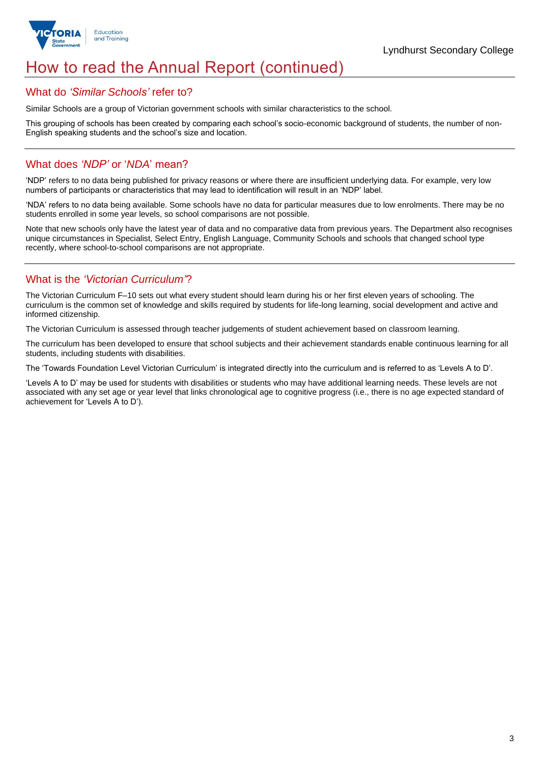

# How to read the Annual Report (continued)

### What do *'Similar Schools'* refer to?

Similar Schools are a group of Victorian government schools with similar characteristics to the school.

This grouping of schools has been created by comparing each school's socio-economic background of students, the number of non-English speaking students and the school's size and location.

## What does *'NDP'* or '*NDA*' mean?

'NDP' refers to no data being published for privacy reasons or where there are insufficient underlying data. For example, very low numbers of participants or characteristics that may lead to identification will result in an 'NDP' label.

'NDA' refers to no data being available. Some schools have no data for particular measures due to low enrolments. There may be no students enrolled in some year levels, so school comparisons are not possible.

Note that new schools only have the latest year of data and no comparative data from previous years. The Department also recognises unique circumstances in Specialist, Select Entry, English Language, Community Schools and schools that changed school type recently, where school-to-school comparisons are not appropriate.

# What is the *'Victorian Curriculum'*?

The Victorian Curriculum F–10 sets out what every student should learn during his or her first eleven years of schooling. The curriculum is the common set of knowledge and skills required by students for life-long learning, social development and active and informed citizenship.

The Victorian Curriculum is assessed through teacher judgements of student achievement based on classroom learning.

The curriculum has been developed to ensure that school subjects and their achievement standards enable continuous learning for all students, including students with disabilities.

The 'Towards Foundation Level Victorian Curriculum' is integrated directly into the curriculum and is referred to as 'Levels A to D'.

'Levels A to D' may be used for students with disabilities or students who may have additional learning needs. These levels are not associated with any set age or year level that links chronological age to cognitive progress (i.e., there is no age expected standard of achievement for 'Levels A to D').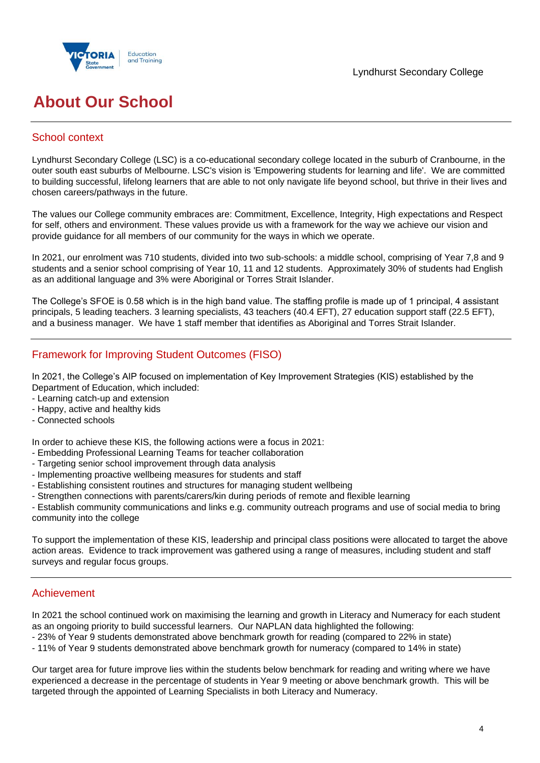



# **About Our School**

## School context

Lyndhurst Secondary College (LSC) is a co-educational secondary college located in the suburb of Cranbourne, in the outer south east suburbs of Melbourne. LSC's vision is 'Empowering students for learning and life'. We are committed to building successful, lifelong learners that are able to not only navigate life beyond school, but thrive in their lives and chosen careers/pathways in the future.

The values our College community embraces are: Commitment, Excellence, Integrity, High expectations and Respect for self, others and environment. These values provide us with a framework for the way we achieve our vision and provide guidance for all members of our community for the ways in which we operate.

In 2021, our enrolment was 710 students, divided into two sub-schools: a middle school, comprising of Year 7,8 and 9 students and a senior school comprising of Year 10, 11 and 12 students. Approximately 30% of students had English as an additional language and 3% were Aboriginal or Torres Strait Islander.

The College's SFOE is 0.58 which is in the high band value. The staffing profile is made up of 1 principal, 4 assistant principals, 5 leading teachers. 3 learning specialists, 43 teachers (40.4 EFT), 27 education support staff (22.5 EFT), and a business manager. We have 1 staff member that identifies as Aboriginal and Torres Strait Islander.

# Framework for Improving Student Outcomes (FISO)

In 2021, the College's AIP focused on implementation of Key Improvement Strategies (KIS) established by the Department of Education, which included:

- Learning catch-up and extension
- Happy, active and healthy kids
- Connected schools

In order to achieve these KIS, the following actions were a focus in 2021:

- Embedding Professional Learning Teams for teacher collaboration
- Targeting senior school improvement through data analysis
- Implementing proactive wellbeing measures for students and staff
- Establishing consistent routines and structures for managing student wellbeing
- Strengthen connections with parents/carers/kin during periods of remote and flexible learning

- Establish community communications and links e.g. community outreach programs and use of social media to bring community into the college

To support the implementation of these KIS, leadership and principal class positions were allocated to target the above action areas. Evidence to track improvement was gathered using a range of measures, including student and staff surveys and regular focus groups.

### Achievement

In 2021 the school continued work on maximising the learning and growth in Literacy and Numeracy for each student as an ongoing priority to build successful learners. Our NAPLAN data highlighted the following:

- 23% of Year 9 students demonstrated above benchmark growth for reading (compared to 22% in state)

- 11% of Year 9 students demonstrated above benchmark growth for numeracy (compared to 14% in state)

Our target area for future improve lies within the students below benchmark for reading and writing where we have experienced a decrease in the percentage of students in Year 9 meeting or above benchmark growth. This will be targeted through the appointed of Learning Specialists in both Literacy and Numeracy.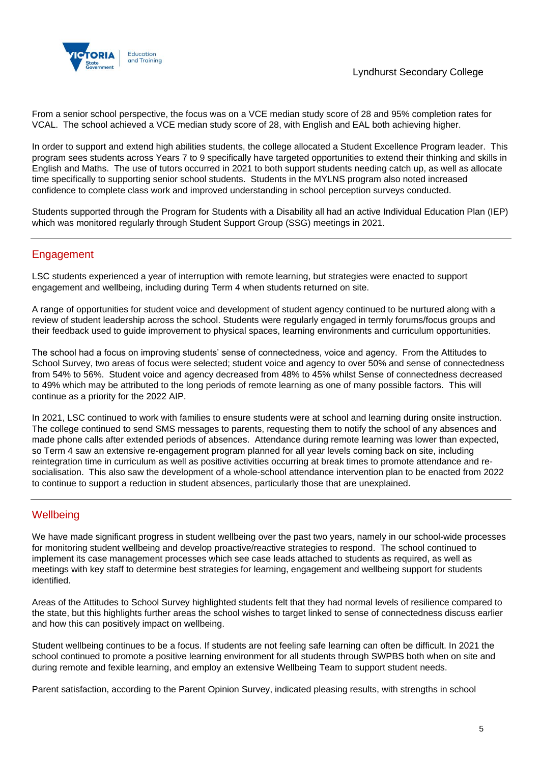

From a senior school perspective, the focus was on a VCE median study score of 28 and 95% completion rates for VCAL. The school achieved a VCE median study score of 28, with English and EAL both achieving higher.

In order to support and extend high abilities students, the college allocated a Student Excellence Program leader. This program sees students across Years 7 to 9 specifically have targeted opportunities to extend their thinking and skills in English and Maths. The use of tutors occurred in 2021 to both support students needing catch up, as well as allocate time specifically to supporting senior school students. Students in the MYLNS program also noted increased confidence to complete class work and improved understanding in school perception surveys conducted.

Students supported through the Program for Students with a Disability all had an active Individual Education Plan (IEP) which was monitored regularly through Student Support Group (SSG) meetings in 2021.

## Engagement

LSC students experienced a year of interruption with remote learning, but strategies were enacted to support engagement and wellbeing, including during Term 4 when students returned on site.

A range of opportunities for student voice and development of student agency continued to be nurtured along with a review of student leadership across the school. Students were regularly engaged in termly forums/focus groups and their feedback used to guide improvement to physical spaces, learning environments and curriculum opportunities.

The school had a focus on improving students' sense of connectedness, voice and agency. From the Attitudes to School Survey, two areas of focus were selected; student voice and agency to over 50% and sense of connectedness from 54% to 56%. Student voice and agency decreased from 48% to 45% whilst Sense of connectedness decreased to 49% which may be attributed to the long periods of remote learning as one of many possible factors. This will continue as a priority for the 2022 AIP.

In 2021, LSC continued to work with families to ensure students were at school and learning during onsite instruction. The college continued to send SMS messages to parents, requesting them to notify the school of any absences and made phone calls after extended periods of absences. Attendance during remote learning was lower than expected, so Term 4 saw an extensive re-engagement program planned for all year levels coming back on site, including reintegration time in curriculum as well as positive activities occurring at break times to promote attendance and resocialisation. This also saw the development of a whole-school attendance intervention plan to be enacted from 2022 to continue to support a reduction in student absences, particularly those that are unexplained.

## **Wellbeing**

We have made significant progress in student wellbeing over the past two years, namely in our school-wide processes for monitoring student wellbeing and develop proactive/reactive strategies to respond. The school continued to implement its case management processes which see case leads attached to students as required, as well as meetings with key staff to determine best strategies for learning, engagement and wellbeing support for students identified.

Areas of the Attitudes to School Survey highlighted students felt that they had normal levels of resilience compared to the state, but this highlights further areas the school wishes to target linked to sense of connectedness discuss earlier and how this can positively impact on wellbeing.

Student wellbeing continues to be a focus. If students are not feeling safe learning can often be difficult. In 2021 the school continued to promote a positive learning environment for all students through SWPBS both when on site and during remote and fexible learning, and employ an extensive Wellbeing Team to support student needs.

Parent satisfaction, according to the Parent Opinion Survey, indicated pleasing results, with strengths in school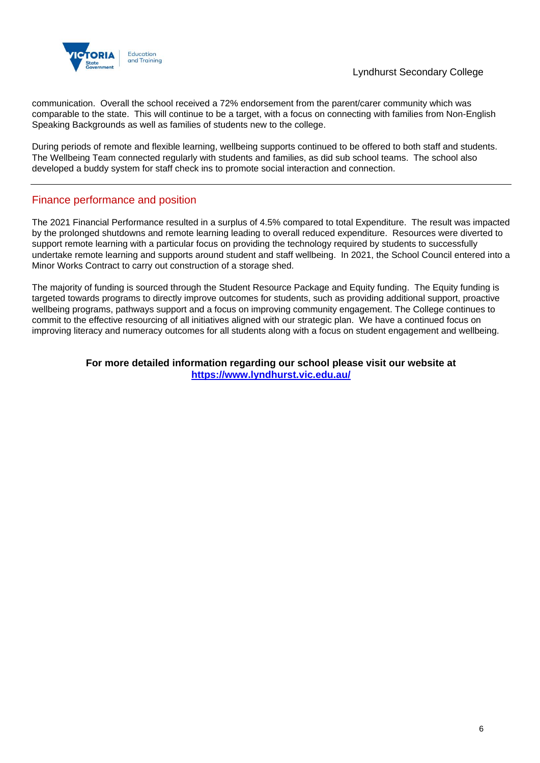

communication. Overall the school received a 72% endorsement from the parent/carer community which was comparable to the state. This will continue to be a target, with a focus on connecting with families from Non-English Speaking Backgrounds as well as families of students new to the college.

During periods of remote and flexible learning, wellbeing supports continued to be offered to both staff and students. The Wellbeing Team connected regularly with students and families, as did sub school teams. The school also developed a buddy system for staff check ins to promote social interaction and connection.

## Finance performance and position

The 2021 Financial Performance resulted in a surplus of 4.5% compared to total Expenditure. The result was impacted by the prolonged shutdowns and remote learning leading to overall reduced expenditure. Resources were diverted to support remote learning with a particular focus on providing the technology required by students to successfully undertake remote learning and supports around student and staff wellbeing. In 2021, the School Council entered into a Minor Works Contract to carry out construction of a storage shed.

The majority of funding is sourced through the Student Resource Package and Equity funding. The Equity funding is targeted towards programs to directly improve outcomes for students, such as providing additional support, proactive wellbeing programs, pathways support and a focus on improving community engagement. The College continues to commit to the effective resourcing of all initiatives aligned with our strategic plan. We have a continued focus on improving literacy and numeracy outcomes for all students along with a focus on student engagement and wellbeing.

### **For more detailed information regarding our school please visit our website at <https://www.lyndhurst.vic.edu.au/>**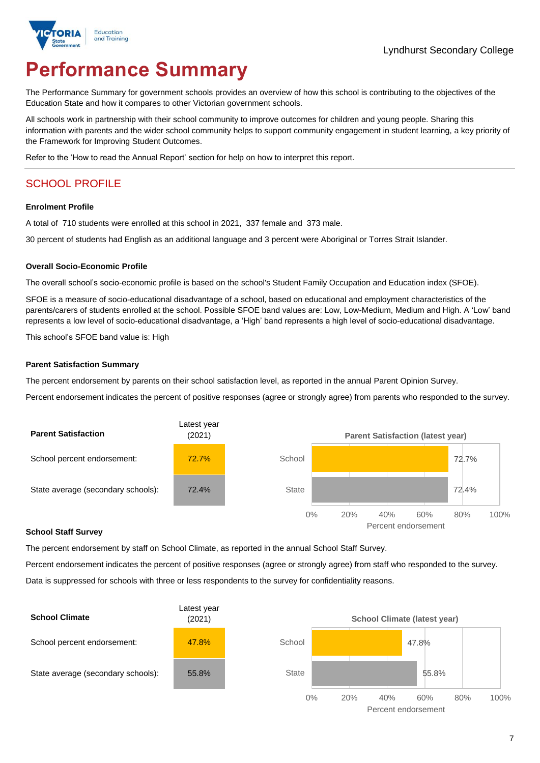# **Performance Summary**

The Performance Summary for government schools provides an overview of how this school is contributing to the objectives of the Education State and how it compares to other Victorian government schools.

All schools work in partnership with their school community to improve outcomes for children and young people. Sharing this information with parents and the wider school community helps to support community engagement in student learning, a key priority of the Framework for Improving Student Outcomes.

Refer to the 'How to read the Annual Report' section for help on how to interpret this report.

# SCHOOL PROFILE

#### **Enrolment Profile**

A total of 710 students were enrolled at this school in 2021, 337 female and 373 male.

30 percent of students had English as an additional language and 3 percent were Aboriginal or Torres Strait Islander.

#### **Overall Socio-Economic Profile**

The overall school's socio-economic profile is based on the school's Student Family Occupation and Education index (SFOE).

SFOE is a measure of socio-educational disadvantage of a school, based on educational and employment characteristics of the parents/carers of students enrolled at the school. Possible SFOE band values are: Low, Low-Medium, Medium and High. A 'Low' band represents a low level of socio-educational disadvantage, a 'High' band represents a high level of socio-educational disadvantage.

This school's SFOE band value is: High

#### **Parent Satisfaction Summary**

The percent endorsement by parents on their school satisfaction level, as reported in the annual Parent Opinion Survey.

Percent endorsement indicates the percent of positive responses (agree or strongly agree) from parents who responded to the survey.



#### **School Staff Survey**

The percent endorsement by staff on School Climate, as reported in the annual School Staff Survey.

Percent endorsement indicates the percent of positive responses (agree or strongly agree) from staff who responded to the survey. Data is suppressed for schools with three or less respondents to the survey for confidentiality reasons.

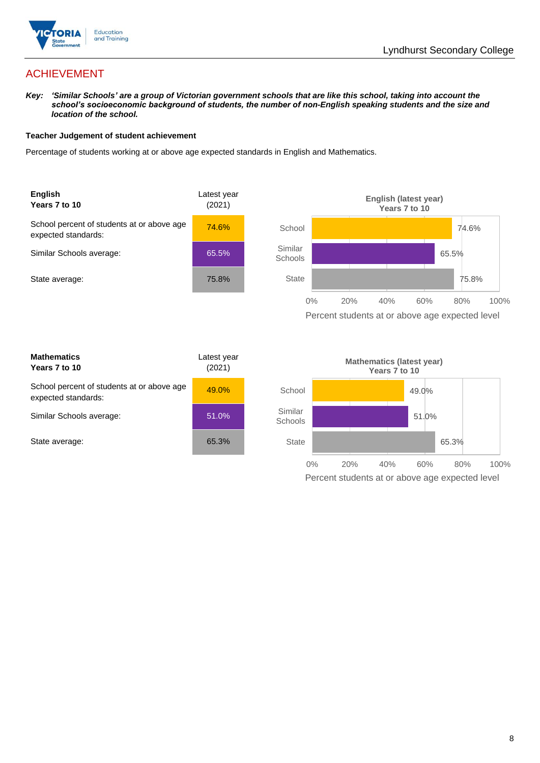

# ACHIEVEMENT

*Key: 'Similar Schools' are a group of Victorian government schools that are like this school, taking into account the*  school's socioeconomic background of students, the number of non-English speaking students and the size and *location of the school.*

#### **Teacher Judgement of student achievement**

Percentage of students working at or above age expected standards in English and Mathematics.



| <b>Mathematics</b><br>Years 7 to 10                               | Latest year<br>(2021) |  |
|-------------------------------------------------------------------|-----------------------|--|
| School percent of students at or above age<br>expected standards: | 49.0%                 |  |
| Similar Schools average:                                          | 51.0%                 |  |
| State average:                                                    | 65.3%                 |  |

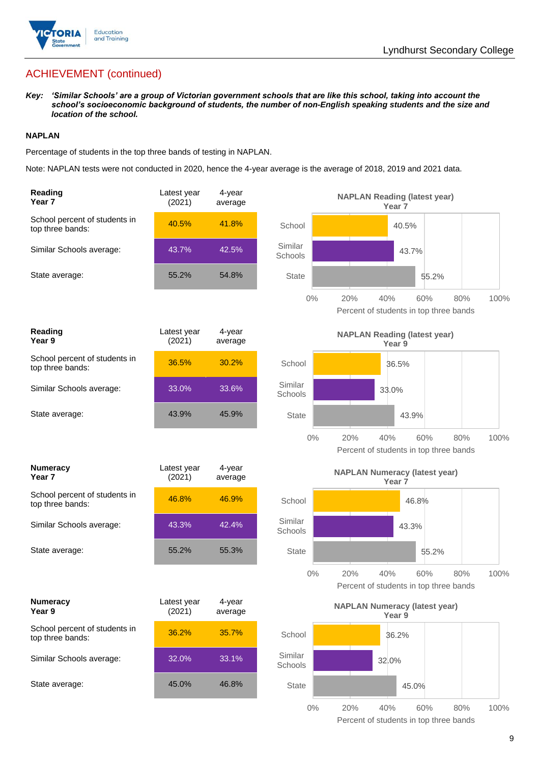

# ACHIEVEMENT (continued)

*Key: 'Similar Schools' are a group of Victorian government schools that are like this school, taking into account the school's socioeconomic background of students, the number of non-English speaking students and the size and location of the school.*

#### **NAPLAN**

Percentage of students in the top three bands of testing in NAPLAN.

Note: NAPLAN tests were not conducted in 2020, hence the 4-year average is the average of 2018, 2019 and 2021 data.

| Reading<br>Year <sub>7</sub>                      | Latest year<br>(2021) | 4-year<br>average | <b>NAPLAN Reading (latest year)</b><br>Year <sub>7</sub>                            |
|---------------------------------------------------|-----------------------|-------------------|-------------------------------------------------------------------------------------|
| School percent of students in<br>top three bands: | 40.5%                 | 41.8%             | School<br>40.5%                                                                     |
| Similar Schools average:                          | 43.7%                 | 42.5%             | Similar<br>43.7%<br>Schools                                                         |
| State average:                                    | 55.2%                 | 54.8%             | <b>State</b><br>55.2%                                                               |
|                                                   |                       |                   | $0\%$<br>20%<br>40%<br>80%<br>60%<br>100%<br>Percent of students in top three bands |
| Reading<br>Year 9                                 | Latest year<br>(2021) | 4-year<br>average | <b>NAPLAN Reading (latest year)</b><br>Year 9                                       |
| School percent of students in<br>top three bands: | 36.5%                 | 30.2%             | School<br>36.5%                                                                     |
| Similar Schools average:                          | 33.0%                 | 33.6%             | Similar<br>33.0%<br>Schools                                                         |
| State average:                                    | 43.9%                 | 45.9%             | <b>State</b><br>43.9%                                                               |
|                                                   |                       |                   | $0\%$<br>20%<br>40%<br>60%<br>80%<br>100%<br>Percent of students in top three bands |
| <b>Numeracy</b><br>Year <sub>7</sub>              | Latest year<br>(2021) | 4-year<br>average | <b>NAPLAN Numeracy (latest year)</b><br>Year <sub>7</sub>                           |
| School percent of students in<br>top three bands: | 46.8%                 | 46.9%             | School<br>46.8%                                                                     |
| Similar Schools average:                          | 43.3%                 | 42.4%             | Similar<br>43.3%<br>Schools                                                         |
| State average:                                    | 55.2%                 | 55.3%             | <b>State</b><br>55.2%                                                               |
|                                                   |                       |                   | $0\%$<br>20%<br>40%<br>60%<br>80%<br>100%<br>Percent of students in top three bands |
| <b>Numeracy</b><br>Year 9                         | Latest year<br>(2021) | 4-year<br>average | <b>NAPLAN Numeracy (latest year)</b><br>Year 9                                      |
| School percent of students in<br>top three bands: | 36.2%                 | 35.7%             | School<br>36.2%                                                                     |
| Similar Schools average:                          |                       | 33.1%             | Similar<br>32.0%                                                                    |
|                                                   | 32.0%                 |                   | Schools                                                                             |
| State average:                                    | 45.0%                 | 46.8%             | <b>State</b><br>45.0%                                                               |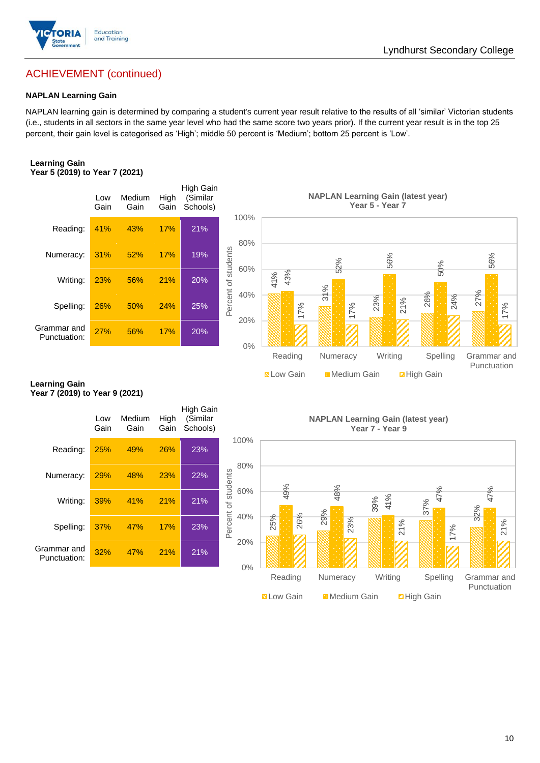

# ACHIEVEMENT (continued)

#### **NAPLAN Learning Gain**

NAPLAN learning gain is determined by comparing a student's current year result relative to the results of all 'similar' Victorian students (i.e., students in all sectors in the same year level who had the same score two years prior). If the current year result is in the top 25 percent, their gain level is categorised as 'High'; middle 50 percent is 'Medium'; bottom 25 percent is 'Low'.

#### **Learning Gain Year 5 (2019) to Year 7 (2021)**



#### **Learning Gain Year 7 (2019) to Year 9 (2021)**

| Writing:                       | 23%         | 56%            | 21%          | 20%                                      | 40%                        | 41%<br>43%        | 31%                                       |                 | ယ                  |                            |
|--------------------------------|-------------|----------------|--------------|------------------------------------------|----------------------------|-------------------|-------------------------------------------|-----------------|--------------------|----------------------------|
| Spelling:                      | 26%         | 50%            | 24%          | 25%                                      | Percent of st              | 17%               | 17%                                       | 23%             | 26%<br>24%<br>21%  | 27%<br>17%                 |
| Grammar and<br>Punctuation:    | 27%         | 56%            | 17%          | 20%                                      | 20%<br>$0\%$               |                   |                                           |                 |                    |                            |
|                                |             |                |              |                                          |                            | Reading           | Numeracy                                  | Writing         | Spelling           | Grammar and<br>Punctuation |
| earning Gain.                  |             |                |              |                                          |                            | <b>N</b> Low Gain | Medium Gain                               |                 | <b>E</b> High Gain |                            |
| fear 7 (2019) to Year 9 (2021) |             |                |              |                                          |                            |                   |                                           |                 |                    |                            |
|                                | Low<br>Gain | Medium<br>Gain | High<br>Gain | <b>High Gain</b><br>(Similar<br>Schools) |                            |                   | <b>NAPLAN Learning Gain (latest year)</b> | Year 7 - Year 9 |                    |                            |
| Reading:                       | 25%         | 49%            | 26%          | 23%                                      | 100%                       |                   |                                           |                 |                    |                            |
| Numeracy:                      | 29%         | 48%            | 23%          | 22%                                      | 80%                        |                   |                                           |                 |                    |                            |
| Writing:                       | 39%         | 41%            | 21%          | 21%                                      | Percent of students<br>60% | 49%               | 48%                                       | 41%<br>39%      | 47%<br>37%         | 47%<br>32%                 |
| Spelling:                      | 37%         | 47%            | 17%          | 23%                                      | 40%                        | 26%<br>25%        | 29%<br>23%                                |                 | 21%<br>17%         | 21%                        |
| Grammar and<br>Punctuation:    | 32%         | 47%            | 21%          | 21%                                      | 20%<br>$0\%$               |                   |                                           |                 |                    |                            |
|                                |             |                |              |                                          |                            | Reading           | Numeracy                                  | Writing         | Spelling           | Grammar and<br>Punctuation |
|                                |             |                |              |                                          |                            | <b>N</b> Low Gain | <b>Medium Gain</b>                        |                 | <b>2High Gain</b>  |                            |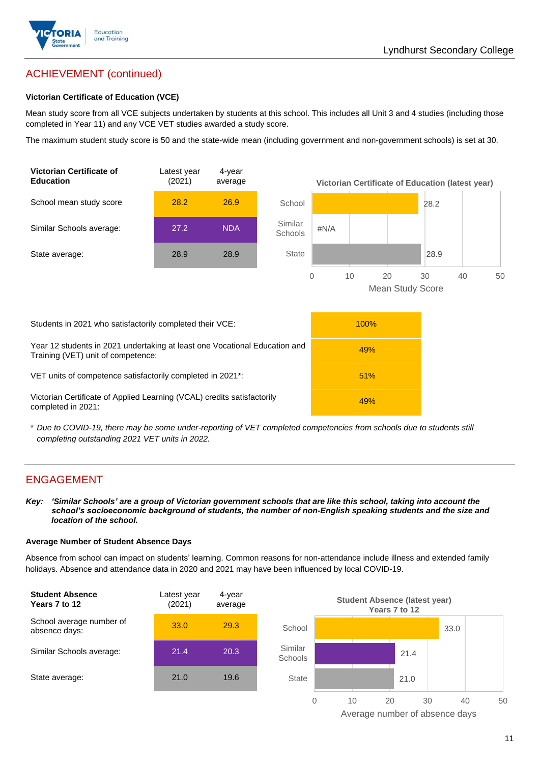

# ACHIEVEMENT (continued)

#### **Victorian Certificate of Education (VCE)**

Mean study score from all VCE subjects undertaken by students at this school. This includes all Unit 3 and 4 studies (including those completed in Year 11) and any VCE VET studies awarded a study score.

The maximum student study score is 50 and the state-wide mean (including government and non-government schools) is set at 30.



\* *Due to COVID-19, there may be some under-reporting of VET completed competencies from schools due to students still completing outstanding 2021 VET units in 2022.*

### ENGAGEMENT

*Key: 'Similar Schools' are a group of Victorian government schools that are like this school, taking into account the*  school's socioeconomic background of students, the number of non-English speaking students and the size and *location of the school.*

#### **Average Number of Student Absence Days**

Absence from school can impact on students' learning. Common reasons for non-attendance include illness and extended family holidays. Absence and attendance data in 2020 and 2021 may have been influenced by local COVID-19.



Average number of absence days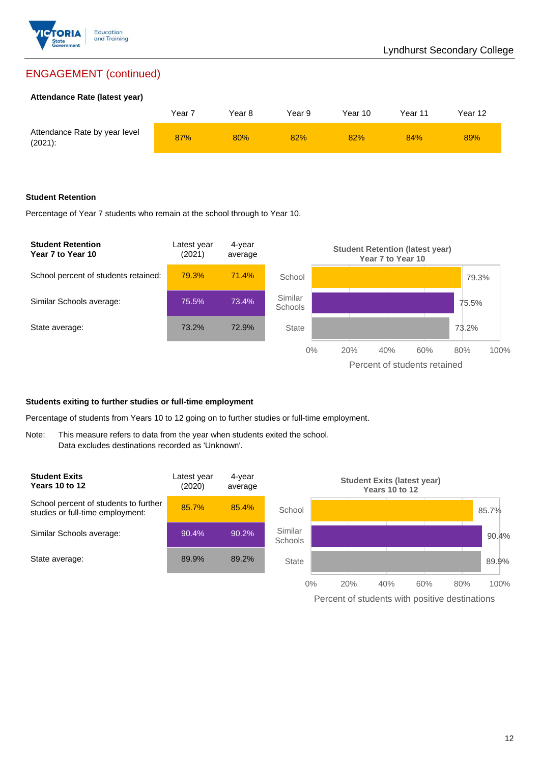

# ENGAGEMENT (continued)

#### **Attendance Rate (latest year)**

|                                             | Year <sub>7</sub> | Year 8 | Year 9 | Year 10 | Year 11 | Year 12 |
|---------------------------------------------|-------------------|--------|--------|---------|---------|---------|
| Attendance Rate by year level<br>$(2021)$ : | 87%               | 80%    | 82%    | 82%     | 84%     | 89%     |

#### **Student Retention**

Percentage of Year 7 students who remain at the school through to Year 10.



#### **Students exiting to further studies or full-time employment**

Percentage of students from Years 10 to 12 going on to further studies or full-time employment.

Note: This measure refers to data from the year when students exited the school. Data excludes destinations recorded as 'Unknown'.



Percent of students with positive destinations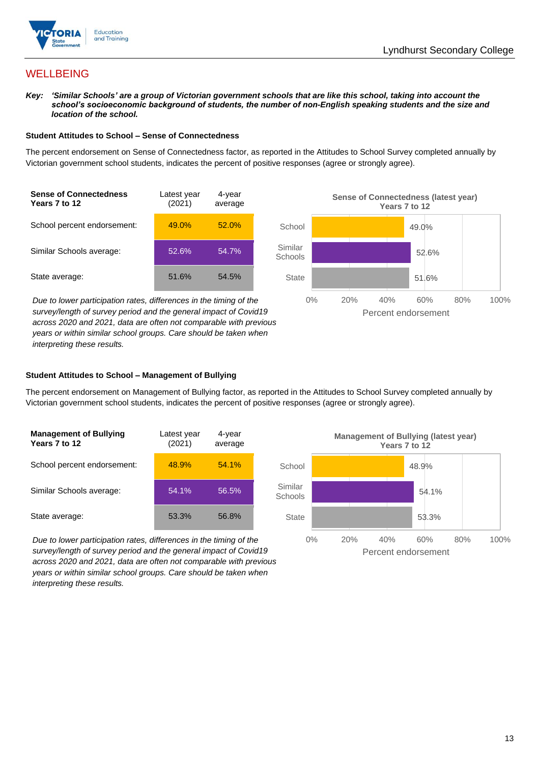



# **WELLBEING**

*Key: 'Similar Schools' are a group of Victorian government schools that are like this school, taking into account the*  school's socioeconomic background of students, the number of non-English speaking students and the size and *location of the school.*

#### **Student Attitudes to School – Sense of Connectedness**

The percent endorsement on Sense of Connectedness factor, as reported in the Attitudes to School Survey completed annually by Victorian government school students, indicates the percent of positive responses (agree or strongly agree).



*Due to lower participation rates, differences in the timing of the survey/length of survey period and the general impact of Covid19 across 2020 and 2021, data are often not comparable with previous years or within similar school groups. Care should be taken when interpreting these results.*



#### **Student Attitudes to School – Management of Bullying**

The percent endorsement on Management of Bullying factor, as reported in the Attitudes to School Survey completed annually by Victorian government school students, indicates the percent of positive responses (agree or strongly agree).

| <b>Management of Bullying</b><br>Years 7 to 12 | Latest year<br>(2021) | 4-year<br>average |  |
|------------------------------------------------|-----------------------|-------------------|--|
| School percent endorsement:                    | 48.9%                 | 54.1%             |  |
| Similar Schools average:                       | 54.1%                 | 56.5%             |  |
| State average:                                 | 53.3%                 | 56.8%             |  |

*Due to lower participation rates, differences in the timing of the survey/length of survey period and the general impact of Covid19 across 2020 and 2021, data are often not comparable with previous years or within similar school groups. Care should be taken when interpreting these results.*

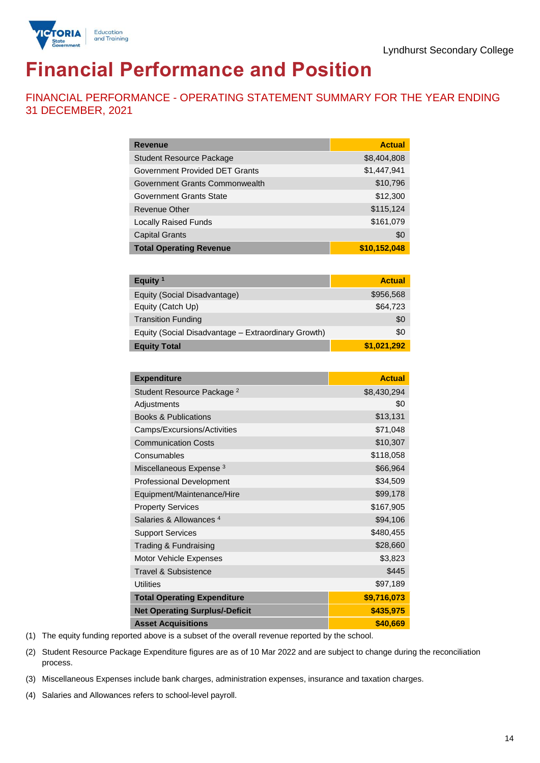

# **Financial Performance and Position**

FINANCIAL PERFORMANCE - OPERATING STATEMENT SUMMARY FOR THE YEAR ENDING 31 DECEMBER, 2021

| <b>Revenue</b>                  | <b>Actual</b> |
|---------------------------------|---------------|
| <b>Student Resource Package</b> | \$8,404,808   |
| Government Provided DET Grants  | \$1,447,941   |
| Government Grants Commonwealth  | \$10,796      |
| Government Grants State         | \$12,300      |
| <b>Revenue Other</b>            | \$115,124     |
| <b>Locally Raised Funds</b>     | \$161,079     |
| <b>Capital Grants</b>           | \$0           |
| <b>Total Operating Revenue</b>  | \$10,152,048  |

| Equity <sup>1</sup>                                 | <b>Actual</b> |
|-----------------------------------------------------|---------------|
| Equity (Social Disadvantage)                        | \$956,568     |
| Equity (Catch Up)                                   | \$64,723      |
| <b>Transition Funding</b>                           | \$0           |
| Equity (Social Disadvantage - Extraordinary Growth) | \$0           |
| <b>Equity Total</b>                                 | \$1,021,292   |

| <b>Expenditure</b>                    | <b>Actual</b> |
|---------------------------------------|---------------|
| Student Resource Package <sup>2</sup> | \$8,430,294   |
| Adjustments                           | \$0           |
| <b>Books &amp; Publications</b>       | \$13,131      |
| Camps/Excursions/Activities           | \$71,048      |
| <b>Communication Costs</b>            | \$10,307      |
| Consumables                           | \$118,058     |
| Miscellaneous Expense <sup>3</sup>    | \$66,964      |
| <b>Professional Development</b>       | \$34,509      |
| Equipment/Maintenance/Hire            | \$99,178      |
| <b>Property Services</b>              | \$167,905     |
| Salaries & Allowances <sup>4</sup>    | \$94,106      |
| <b>Support Services</b>               | \$480,455     |
| Trading & Fundraising                 | \$28,660      |
| Motor Vehicle Expenses                | \$3,823       |
| Travel & Subsistence                  | \$445         |
| <b>Utilities</b>                      | \$97,189      |
| <b>Total Operating Expenditure</b>    | \$9,716,073   |
| <b>Net Operating Surplus/-Deficit</b> | \$435,975     |
| <b>Asset Acquisitions</b>             | \$40,669      |

(1) The equity funding reported above is a subset of the overall revenue reported by the school.

(2) Student Resource Package Expenditure figures are as of 10 Mar 2022 and are subject to change during the reconciliation process.

(3) Miscellaneous Expenses include bank charges, administration expenses, insurance and taxation charges.

(4) Salaries and Allowances refers to school-level payroll.